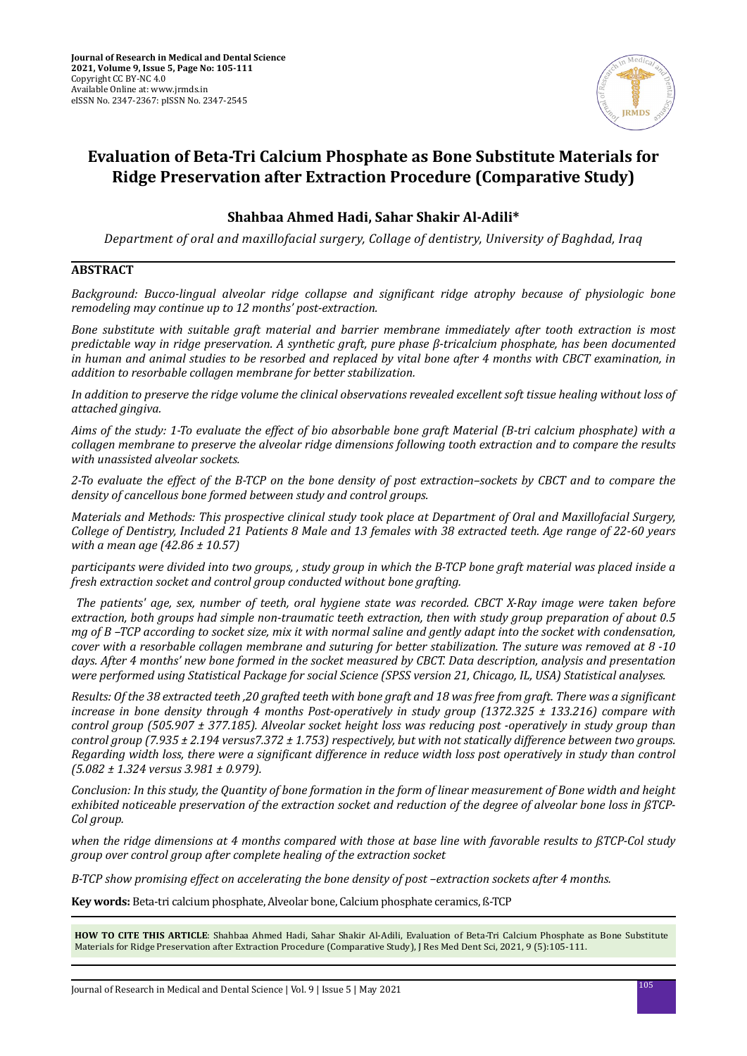

# **Evaluation of Beta-Tri Calcium Phosphate as Bone Substitute Materials for Ridge Preservation after Extraction Procedure (Comparative Study)**

## **Shahbaa Ahmed Hadi, Sahar Shakir Al-Adili\***

*Department of oral and maxillofacial surgery, Collage of dentistry, University of Baghdad, Iraq*

## **ABSTRACT**

*Background: Bucco-lingual alveolar ridge collapse and significant ridge atrophy because of physiologic bone remodeling may continue up to 12 months' post-extraction.* 

*Bone substitute with suitable graft material and barrier membrane immediately after tooth extraction is most predictable way in ridge preservation. A synthetic graft, pure phase β-tricalcium phosphate, has been documented in human and animal studies to be resorbed and replaced by vital bone after 4 months with CBCT examination, in addition to resorbable collagen membrane for better stabilization.*

*In addition to preserve the ridge volume the clinical observations revealed excellent soft tissue healing without loss of attached gingiva.*

*Aims of the study: 1-To evaluate the effect of bio absorbable bone graft Material (B-tri calcium phosphate) with a collagen membrane to preserve the alveolar ridge dimensions following tooth extraction and to compare the results with unassisted alveolar sockets.*

*2-To evaluate the effect of the B-TCP on the bone density of post extraction–sockets by CBCT and to compare the density of cancellous bone formed between study and control groups.*

*Materials and Methods: This prospective clinical study took place at Department of Oral and Maxillofacial Surgery, College of Dentistry, Included 21 Patients 8 Male and 13 females with 38 extracted teeth. Age range of 22-60 years with a mean age (42.86 ± 10.57)*

*participants were divided into two groups, , study group in which the B-TCP bone graft material was placed inside a fresh extraction socket and control group conducted without bone grafting.*

 *The patients' age, sex, number of teeth, oral hygiene state was recorded. CBCT X-Ray image were taken before extraction, both groups had simple non-traumatic teeth extraction, then with study group preparation of about 0.5 mg of B –TCP according to socket size, mix it with normal saline and gently adapt into the socket with condensation, cover with a resorbable collagen membrane and suturing for better stabilization. The suture was removed at 8 -10 days. After 4 months' new bone formed in the socket measured by CBCT. Data description, analysis and presentation were performed using Statistical Package for social Science (SPSS version 21, Chicago, IL, USA) Statistical analyses.*

*Results: Of the 38 extracted teeth ,20 grafted teeth with bone graft and 18 was free from graft. There was a significant increase in bone density through 4 months Post-operatively in study group (1372.325 ± 133.216) compare with control group (505.907 ± 377.185). Alveolar socket height loss was reducing post -operatively in study group than control group (7.935 ± 2.194 versus7.372 ± 1.753) respectively, but with not statically difference between two groups. Regarding width loss, there were a significant difference in reduce width loss post operatively in study than control (5.082 ± 1.324 versus 3.981 ± 0.979).*

*Conclusion: In this study, the Quantity of bone formation in the form of linear measurement of Bone width and height exhibited noticeable preservation of the extraction socket and reduction of the degree of alveolar bone loss in ßTCP-Col group.*

*when the ridge dimensions at 4 months compared with those at base line with favorable results to ßTCP-Col study group over control group after complete healing of the extraction socket*

*B-TCP show promising effect on accelerating the bone density of post –extraction sockets after 4 months.*

**Key words:** Beta-tri calcium phosphate, Alveolar bone, Calcium phosphate ceramics, ß-TCP

**HOW TO CITE THIS ARTICLE**: Shahbaa Ahmed Hadi, Sahar Shakir Al-Adili, Evaluation of Beta-Tri Calcium Phosphate as Bone Substitute Materials for Ridge Preservation after Extraction Procedure (Comparative Study), J Res Med Dent Sci, 2021, 9 (5):105-111.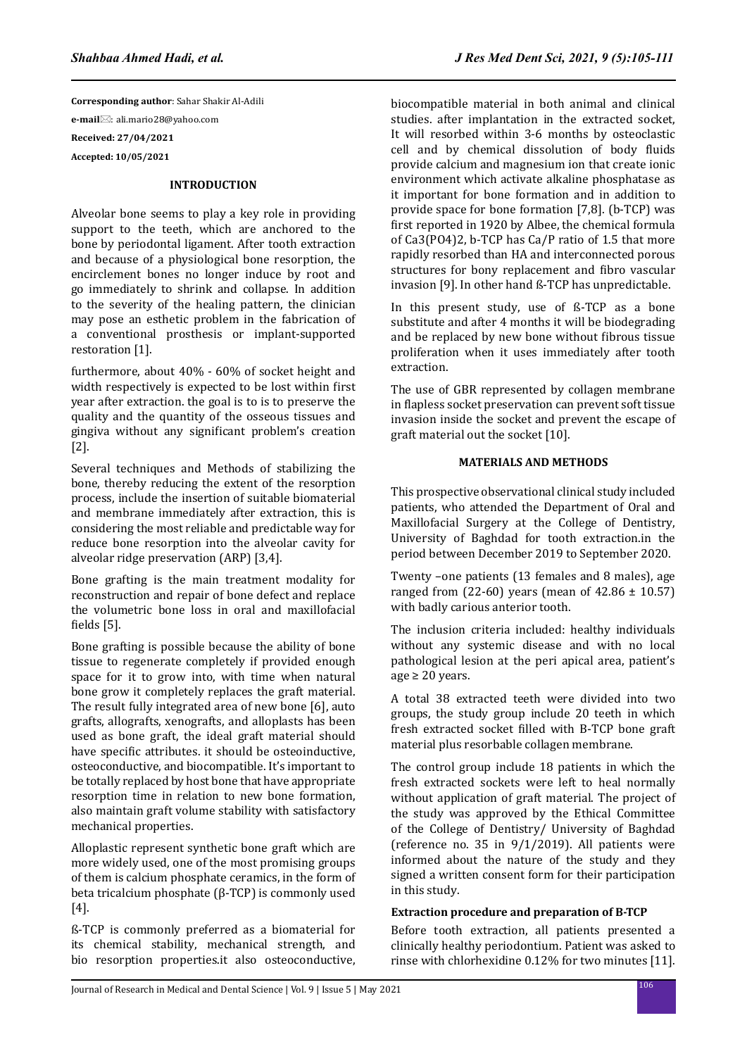**Corresponding author**: Sahar Shakir Al-Adili **e-mail**⊠: ali.mario28@yahoo.com **Received: 27/04/2021 Accepted: 10/05/2021**

## **INTRODUCTION**

Alveolar bone seems to play a key role in providing support to the teeth, which are anchored to the bone by periodontal ligament. After tooth extraction and because of a physiological bone resorption, the encirclement bones no longer induce by root and go immediately to shrink and collapse. In addition to the severity of the healing pattern, the clinician may pose an esthetic problem in the fabrication of a conventional prosthesis or implant-supported restoration [1].

furthermore, about 40% - 60% of socket height and width respectively is expected to be lost within first year after extraction. the goal is to is to preserve the quality and the quantity of the osseous tissues and gingiva without any significant problem's creation [2].

Several techniques and Methods of stabilizing the bone, thereby reducing the extent of the resorption process, include the insertion of suitable biomaterial and membrane immediately after extraction, this is considering the most reliable and predictable way for reduce bone resorption into the alveolar cavity for alveolar ridge preservation (ARP) [3,4].

Bone grafting is the main treatment modality for reconstruction and repair of bone defect and replace the volumetric bone loss in oral and maxillofacial fields [5].

Bone grafting is possible because the ability of bone tissue to regenerate completely if provided enough space for it to grow into, with time when natural bone grow it completely replaces the graft material. The result fully integrated area of new bone [6], auto grafts, allografts, xenografts, and alloplasts has been used as bone graft, the ideal graft material should have specific attributes. it should be osteoinductive, osteoconductive, and biocompatible. It's important to be totally replaced by host bone that have appropriate resorption time in relation to new bone formation, also maintain graft volume stability with satisfactory mechanical properties.

Alloplastic represent synthetic bone graft which are more widely used, one of the most promising groups of them is calcium phosphate ceramics, in the form of beta tricalcium phosphate (β-TCP) is commonly used [4].

ß-TCP is commonly preferred as a biomaterial for its chemical stability, mechanical strength, and bio resorption properties.it also osteoconductive, biocompatible material in both animal and clinical studies. after implantation in the extracted socket, It will resorbed within 3-6 months by osteoclastic cell and by chemical dissolution of body fluids provide calcium and magnesium ion that create ionic environment which activate alkaline phosphatase as it important for bone formation and in addition to provide space for bone formation [7,8]. (b-TCP) was first reported in 1920 by Albee, the chemical formula of Ca3(PO4)2, b-TCP has Ca/P ratio of 1.5 that more rapidly resorbed than HA and interconnected porous structures for bony replacement and fibro vascular invasion [9]. In other hand ß-TCP has unpredictable.

In this present study, use of ß-TCP as a bone substitute and after 4 months it will be biodegrading and be replaced by new bone without fibrous tissue proliferation when it uses immediately after tooth extraction.

The use of GBR represented by collagen membrane in flapless socket preservation can prevent soft tissue invasion inside the socket and prevent the escape of graft material out the socket [10].

#### **MATERIALS AND METHODS**

This prospective observational clinical study included patients, who attended the Department of Oral and Maxillofacial Surgery at the College of Dentistry, University of Baghdad for tooth extraction.in the period between December 2019 to September 2020.

Twenty –one patients (13 females and 8 males), age ranged from  $(22-60)$  years (mean of  $42.86 \pm 10.57$ ) with badly carious anterior tooth.

The inclusion criteria included: healthy individuals without any systemic disease and with no local pathological lesion at the peri apical area, patient's  $age \geq 20 years$ .

A total 38 extracted teeth were divided into two groups, the study group include 20 teeth in which fresh extracted socket filled with B-TCP bone graft material plus resorbable collagen membrane.

The control group include 18 patients in which the fresh extracted sockets were left to heal normally without application of graft material. The project of the study was approved by the Ethical Committee of the College of Dentistry/ University of Baghdad (reference no. 35 in  $9/1/2019$ ). All patients were informed about the nature of the study and they signed a written consent form for their participation in this study.

#### **Extraction procedure and preparation of B-TCP**

Before tooth extraction, all patients presented a clinically healthy periodontium. Patient was asked to rinse with chlorhexidine 0.12% for two minutes [11].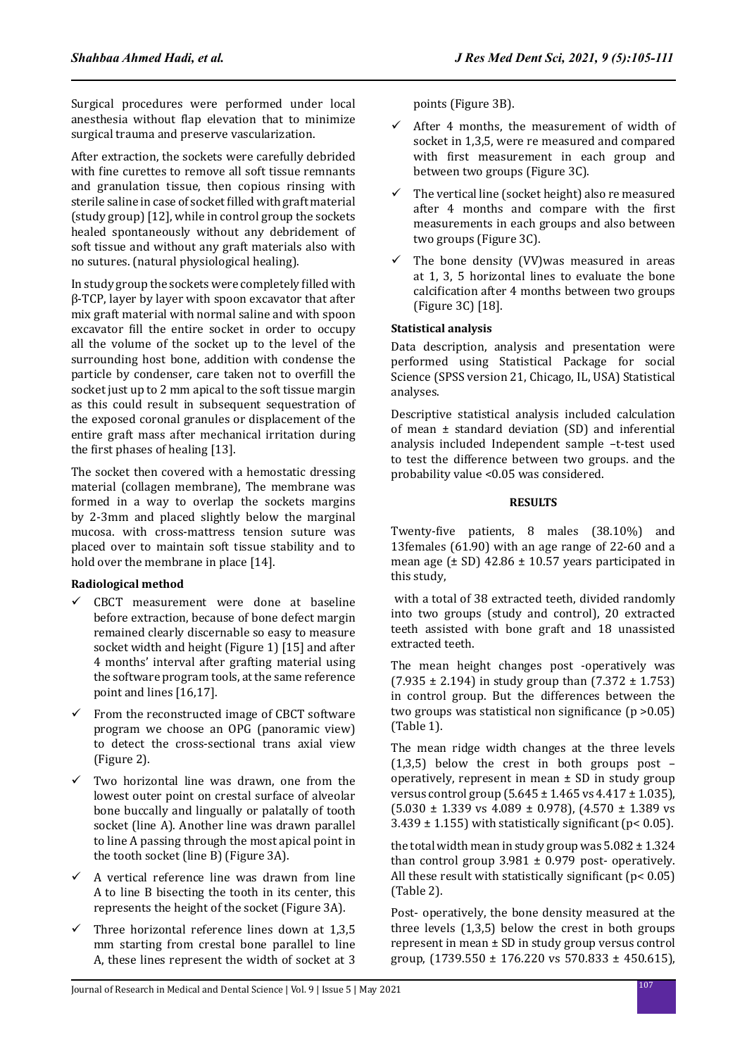Surgical procedures were performed under local anesthesia without flap elevation that to minimize surgical trauma and preserve vascularization.

After extraction, the sockets were carefully debrided with fine curettes to remove all soft tissue remnants and granulation tissue, then copious rinsing with sterile saline in case of socket filled with graft material (study group) [12], while in control group the sockets healed spontaneously without any debridement of soft tissue and without any graft materials also with no sutures. (natural physiological healing).

In study group the sockets were completely filled with β-TCP, layer by layer with spoon excavator that after mix graft material with normal saline and with spoon excavator fill the entire socket in order to occupy all the volume of the socket up to the level of the surrounding host bone, addition with condense the particle by condenser, care taken not to overfill the socket just up to 2 mm apical to the soft tissue margin as this could result in subsequent sequestration of the exposed coronal granules or displacement of the entire graft mass after mechanical irritation during the first phases of healing [13].

The socket then covered with a hemostatic dressing material (collagen membrane), The membrane was formed in a way to overlap the sockets margins by 2-3mm and placed slightly below the marginal mucosa. with cross-mattress tension suture was placed over to maintain soft tissue stability and to hold over the membrane in place [14].

## **Radiological method**

- $\checkmark$  CBCT measurement were done at baseline before extraction, because of bone defect margin remained clearly discernable so easy to measure socket width and height (Figure 1) [15] and after 4 months' interval after grafting material using the software program tools, at the same reference point and lines [16,17].
- $\checkmark$  From the reconstructed image of CBCT software program we choose an OPG (panoramic view) to detect the cross-sectional trans axial view (Figure 2).
- $\checkmark$  Two horizontal line was drawn, one from the lowest outer point on crestal surface of alveolar bone buccally and lingually or palatally of tooth socket (line A). Another line was drawn parallel to line A passing through the most apical point in the tooth socket (line B) (Figure 3A).
- $\checkmark$  A vertical reference line was drawn from line A to line B bisecting the tooth in its center, this represents the height of the socket (Figure 3A).
- $\checkmark$  Three horizontal reference lines down at 1,3,5 mm starting from crestal bone parallel to line A, these lines represent the width of socket at 3

points (Figure 3B).

- $\checkmark$  After 4 months, the measurement of width of socket in 1,3,5, were re measured and compared with first measurement in each group and between two groups (Figure 3C).
- $\checkmark$  The vertical line (socket height) also re measured after 4 months and compare with the first measurements in each groups and also between two groups (Figure 3C).
- $\checkmark$  The bone density (VV)was measured in areas at 1, 3, 5 horizontal lines to evaluate the bone calcification after 4 months between two groups (Figure 3C) [18].

### **Statistical analysis**

Data description, analysis and presentation were performed using Statistical Package for social Science (SPSS version 21, Chicago, IL, USA) Statistical analyses.

Descriptive statistical analysis included calculation of mean ± standard deviation (SD) and inferential analysis included Independent sample –t-test used to test the difference between two groups. and the probability value <0.05 was considered.

### **RESULTS**

Twenty-five patients, 8 males (38.10%) and 13females (61.90) with an age range of 22-60 and a mean age  $(\pm SD)$  42.86  $\pm$  10.57 years participated in this study,

 with a total of 38 extracted teeth, divided randomly into two groups (study and control), 20 extracted teeth assisted with bone graft and 18 unassisted extracted teeth.

The mean height changes post -operatively was  $(7.935 \pm 2.194)$  in study group than  $(7.372 \pm 1.753)$ in control group. But the differences between the two groups was statistical non significance (p >0.05) (Table 1).

The mean ridge width changes at the three levels (1,3,5) below the crest in both groups post – operatively, represent in mean  $\pm$  SD in study group versus control group  $(5.645 \pm 1.465 \text{ vs } 4.417 \pm 1.035)$ ,  $(5.030 \pm 1.339 \text{ vs } 4.089 \pm 0.978)$ ,  $(4.570 \pm 1.389 \text{ vs } 4.089 \pm 0.978)$  $3.439 \pm 1.155$  with statistically significant (p< 0.05).

the total width mean in study group was  $5.082 \pm 1.324$ than control group  $3.981 \pm 0.979$  post-operatively. All these result with statistically significant ( $p < 0.05$ ) (Table 2).

Post- operatively, the bone density measured at the three levels (1,3,5) below the crest in both groups represent in mean ± SD in study group versus control group,  $(1739.550 \pm 176.220 \text{ vs } 570.833 \pm 450.615)$ .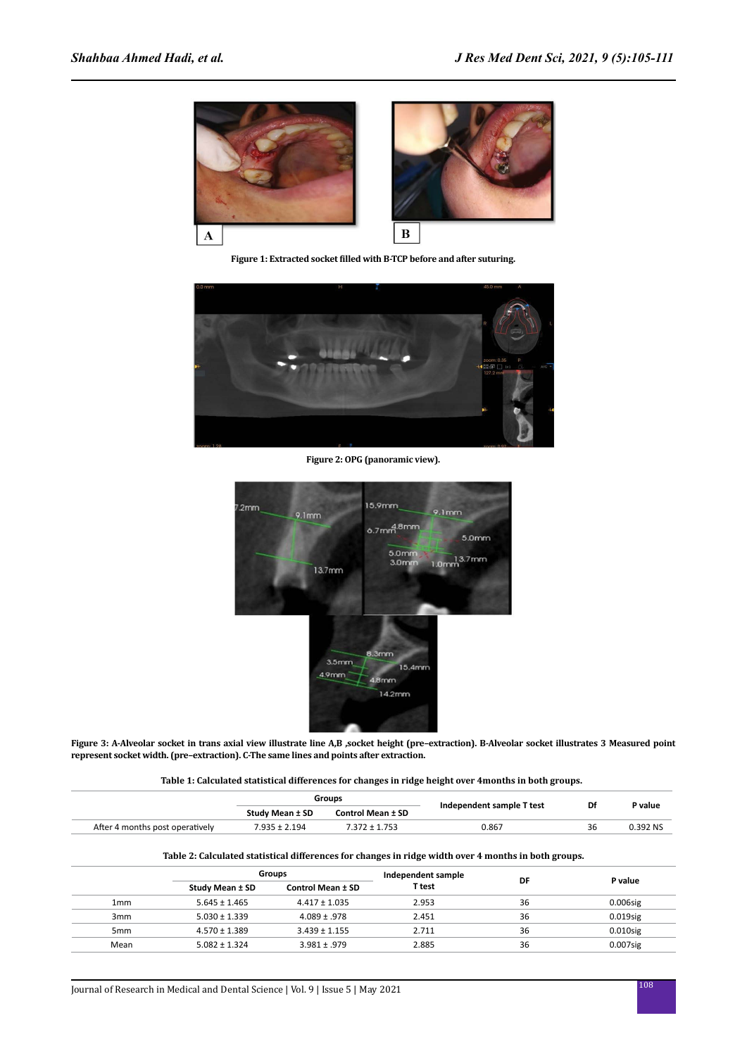

**Figure 1: Extracted socket filled with B-TCP before and after suturing.**



**Figure 2: OPG (panoramic view).**



**Figure 3: A-Alveolar socket in trans axial view illustrate line A,B ,socket height (pre–extraction). B-Alveolar socket illustrates 3 Measured point represent socket width. (pre–extraction). C-The same lines and points after extraction.**

| Table 1: Calculated statistical differences for changes in ridge height over 4 months in both groups. |
|-------------------------------------------------------------------------------------------------------|
|-------------------------------------------------------------------------------------------------------|

|                                 | Groups          |                          |                           | Df |           |
|---------------------------------|-----------------|--------------------------|---------------------------|----|-----------|
|                                 | Study Mean ± SD | <b>Control Mean ± SD</b> | Independent sample T test |    | d value ? |
| After 4 months post operatively | 7.935 ± 2.194   | 7 277 + 1 752            | 0.867                     | 36 | .1392 NC  |

#### **Table 2: Calculated statistical differences for changes in ridge width over 4 months in both groups.**

|                 | <b>Groups</b>     |                   | Independent sample |    |             |
|-----------------|-------------------|-------------------|--------------------|----|-------------|
|                 | Study Mean ± SD   | Control Mean ± SD | T test             | DF | P value     |
| 1 <sub>mm</sub> | $5.645 \pm 1.465$ | $4.417 \pm 1.035$ | 2.953              | 36 | $0.006$ sig |
| 3 <sub>mm</sub> | $5.030 \pm 1.339$ | $4.089 \pm .978$  | 2.451              | 36 | $0.019$ sig |
| 5 <sub>mm</sub> | $4.570 \pm 1.389$ | $3.439 \pm 1.155$ | 2.711              | 36 | $0.010$ sig |
| Mean            | $5.082 \pm 1.324$ | $3.981 \pm .979$  | 2.885              | 36 | $0.007$ sig |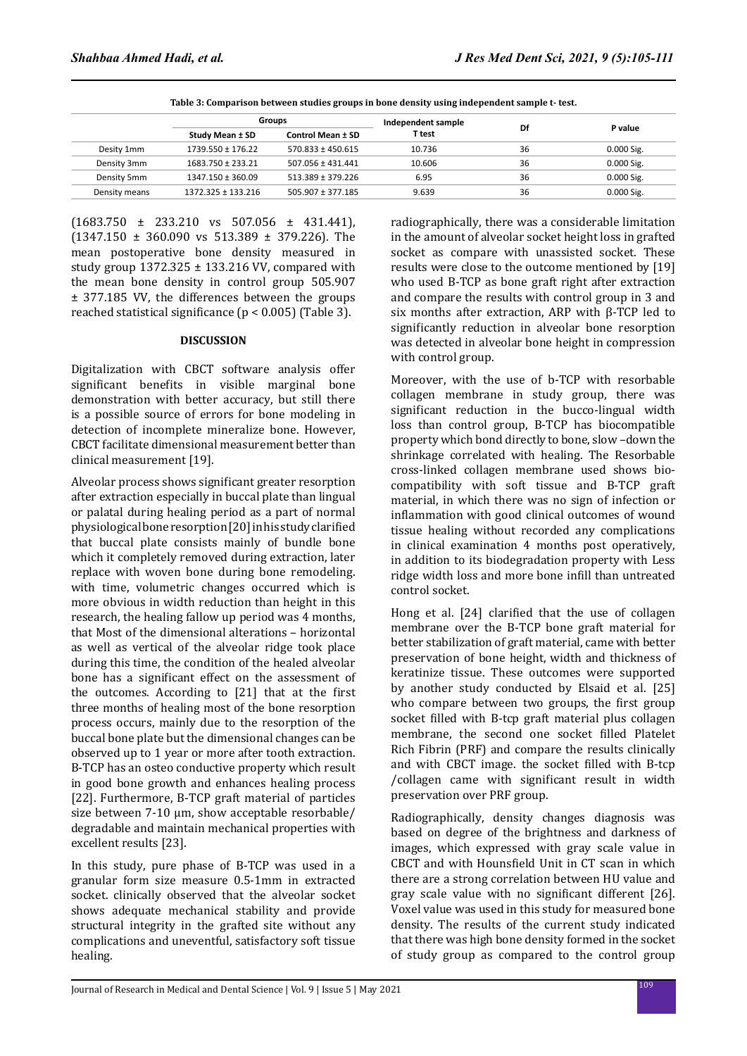| Table 3: Comparison between studies groups in bone density using independent sample t- test. |                       |                          |                    |    |              |  |
|----------------------------------------------------------------------------------------------|-----------------------|--------------------------|--------------------|----|--------------|--|
|                                                                                              | Groups                |                          | Independent sample |    |              |  |
|                                                                                              | Study Mean ± SD       | <b>Control Mean ± SD</b> | T test             | Df | P value      |  |
| Desity 1mm                                                                                   | 1739.550 ± 176.22     | $570.833 \pm 450.615$    | 10.736             | 36 | $0.000$ Sig. |  |
| Density 3mm                                                                                  | 1683.750 ± 233.21     | $507.056 \pm 431.441$    | 10.606             | 36 | $0.000$ Sig. |  |
| Density 5mm                                                                                  | $1347.150 \pm 360.09$ | $513.389 \pm 379.226$    | 6.95               | 36 | 0.000 Sig.   |  |
| Density means                                                                                | 1372.325 ± 133.216    | $505.907 \pm 377.185$    | 9.639              | 36 | 0.000 Sig.   |  |

(1683.750 ± 233.210 vs 507.056 ± 431.441), (1347.150 ± 360.090 vs 513.389 ± 379.226). The mean postoperative bone density measured in study group 1372.325 ± 133.216 VV, compared with the mean bone density in control group 505.907 ± 377.185 VV, the differences between the groups reached statistical significance (p < 0.005) (Table 3).

#### **DISCUSSION**

Digitalization with CBCT software analysis offer significant benefits in visible marginal bone demonstration with better accuracy, but still there is a possible source of errors for bone modeling in detection of incomplete mineralize bone. However, CBCT facilitate dimensional measurement better than clinical measurement [19].

Alveolar process shows significant greater resorption after extraction especially in buccal plate than lingual or palatal during healing period as a part of normal physiological bone resorption [20] in his study clarified that buccal plate consists mainly of bundle bone which it completely removed during extraction, later replace with woven bone during bone remodeling. with time, volumetric changes occurred which is more obvious in width reduction than height in this research, the healing fallow up period was 4 months, that Most of the dimensional alterations – horizontal as well as vertical of the alveolar ridge took place during this time, the condition of the healed alveolar bone has a significant effect on the assessment of the outcomes. According to [21] that at the first three months of healing most of the bone resorption process occurs, mainly due to the resorption of the buccal bone plate but the dimensional changes can be observed up to 1 year or more after tooth extraction. B-TCP has an osteo conductive property which result in good bone growth and enhances healing process [22]. Furthermore, B-TCP graft material of particles size between 7-10 μm, show acceptable resorbable/ degradable and maintain mechanical properties with excellent results [23].

In this study, pure phase of B-TCP was used in a granular form size measure 0.5-1mm in extracted socket. clinically observed that the alveolar socket shows adequate mechanical stability and provide structural integrity in the grafted site without any complications and uneventful, satisfactory soft tissue healing.

radiographically, there was a considerable limitation in the amount of alveolar socket height loss in grafted socket as compare with unassisted socket. These results were close to the outcome mentioned by [19] who used B-TCP as bone graft right after extraction and compare the results with control group in 3 and six months after extraction, ARP with β-TCP led to significantly reduction in alveolar bone resorption was detected in alveolar bone height in compression with control group.

Moreover, with the use of b-TCP with resorbable collagen membrane in study group, there was significant reduction in the bucco-lingual width loss than control group, B-TCP has biocompatible property which bond directly to bone, slow –down the shrinkage correlated with healing. The Resorbable cross-linked collagen membrane used shows biocompatibility with soft tissue and B-TCP graft material, in which there was no sign of infection or inflammation with good clinical outcomes of wound tissue healing without recorded any complications in clinical examination 4 months post operatively, in addition to its biodegradation property with Less ridge width loss and more bone infill than untreated control socket.

Hong et al. [24] clarified that the use of collagen membrane over the B-TCP bone graft material for better stabilization of graft material, came with better preservation of bone height, width and thickness of keratinize tissue. These outcomes were supported by another study conducted by Elsaid et al. [25] who compare between two groups, the first group socket filled with B-tcp graft material plus collagen membrane, the second one socket filled Platelet Rich Fibrin (PRF) and compare the results clinically and with CBCT image. the socket filled with B-tcp /collagen came with significant result in width preservation over PRF group.

Radiographically, density changes diagnosis was based on degree of the brightness and darkness of images, which expressed with gray scale value in CBCT and with Hounsfield Unit in CT scan in which there are a strong correlation between HU value and gray scale value with no significant different [26]. Voxel value was used in this study for measured bone density. The results of the current study indicated that there was high bone density formed in the socket of study group as compared to the control group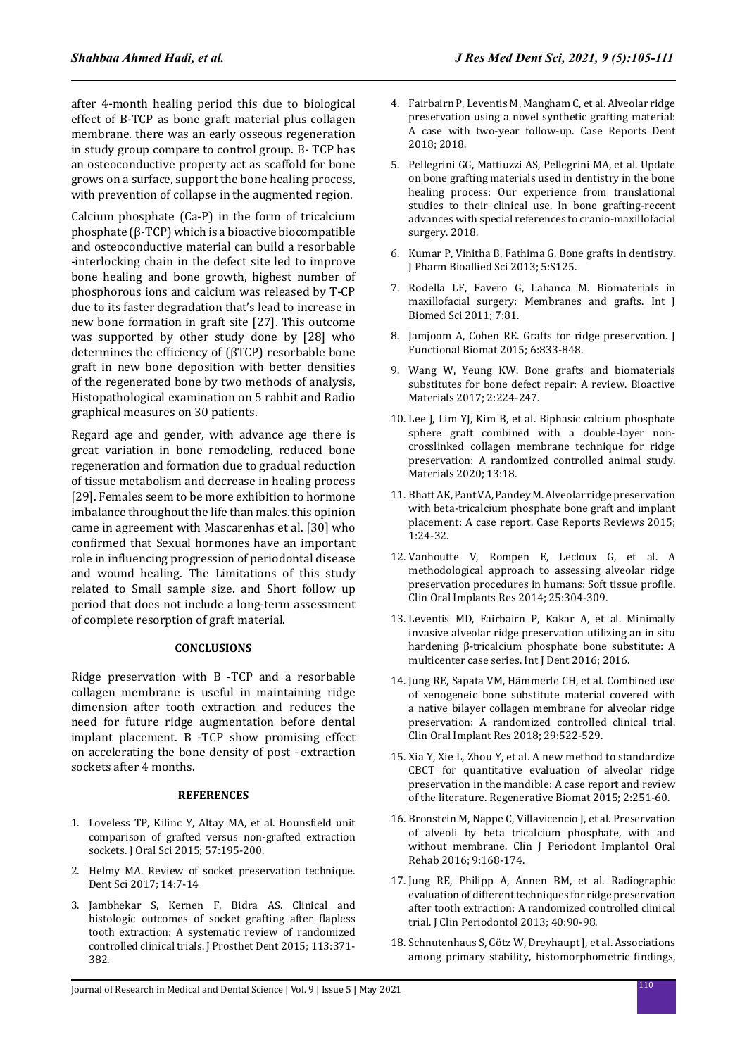after 4-month healing period this due to biological effect of B-TCP as bone graft material plus collagen membrane. there was an early osseous regeneration in study group compare to control group. B- TCP has an osteoconductive property act as scaffold for bone grows on a surface, support the bone healing process, with prevention of collapse in the augmented region.

Calcium phosphate (Ca-P) in the form of tricalcium phosphate (β-TCP) which is a bioactive biocompatible and osteoconductive material can build a resorbable -interlocking chain in the defect site led to improve bone healing and bone growth, highest number of phosphorous ions and calcium was released by T-CP due to its faster degradation that's lead to increase in new bone formation in graft site [27]. This outcome was supported by other study done by [28] who determines the efficiency of (βTCP) resorbable bone graft in new bone deposition with better densities of the regenerated bone by two methods of analysis, Histopathological examination on 5 rabbit and Radio graphical measures on 30 patients.

Regard age and gender, with advance age there is great variation in bone remodeling, reduced bone regeneration and formation due to gradual reduction of tissue metabolism and decrease in healing process [29]. Females seem to be more exhibition to hormone imbalance throughout the life than males. this opinion came in agreement with Mascarenhas et al. [30] who confirmed that Sexual hormones have an important role in influencing progression of periodontal disease and wound healing. The Limitations of this study related to Small sample size. and Short follow up period that does not include a long-term assessment of complete resorption of graft material.

#### **CONCLUSIONS**

Ridge preservation with B -TCP and a resorbable collagen membrane is useful in maintaining ridge dimension after tooth extraction and reduces the need for future ridge augmentation before dental implant placement. B -TCP show promising effect on accelerating the bone density of post –extraction sockets after 4 months.

#### **REFERENCES**

- 1. Loveless TP, Kilinc Y, Altay MA, et al. Hounsfield unit comparison of grafted versus non-grafted extraction sockets. J Oral Sci 2015; 57:195-200.
- 2. Helmy MA. Review of socket preservation technique. Dent Sci 2017; 14:7-14
- 3. Jambhekar S, Kernen F, Bidra AS. Clinical and histologic outcomes of socket grafting after flapless tooth extraction: A systematic review of randomized controlled clinical trials. J Prosthet Dent 2015; 113:371- 382.
- 4. Fairbairn P, Leventis M, Mangham C, et al. Alveolar ridge preservation using a novel synthetic grafting material: A case with two-year follow-up. Case Reports Dent 2018; 2018.
- 5. Pellegrini GG, Mattiuzzi AS, Pellegrini MA, et al. Update on bone grafting materials used in dentistry in the bone healing process: Our experience from translational studies to their clinical use. In bone grafting-recent advances with special references to cranio-maxillofacial surgery. 2018.
- 6. Kumar P, Vinitha B, Fathima G. Bone grafts in dentistry. J Pharm Bioallied Sci 2013; 5:S125.
- 7. Rodella LF, Favero G, Labanca M. Biomaterials in maxillofacial surgery: Membranes and grafts. Int J Biomed Sci 2011; 7:81.
- 8. Jamjoom A, Cohen RE. Grafts for ridge preservation. J Functional Biomat 2015; 6:833-848.
- 9. Wang W, Yeung KW. Bone grafts and biomaterials substitutes for bone defect repair: A review. Bioactive Materials 2017; 2:224-247.
- 10. Lee J, Lim YJ, Kim B, et al. Biphasic calcium phosphate sphere graft combined with a double-layer noncrosslinked collagen membrane technique for ridge preservation: A randomized controlled animal study. Materials 2020; 13:18.
- 11. Bhatt AK, Pant VA, Pandey M. Alveolar ridge preservation with beta-tricalcium phosphate bone graft and implant placement: A case report. Case Reports Reviews 2015; 1:24-32.
- 12. Vanhoutte V, Rompen E, Lecloux G, et al. A methodological approach to assessing alveolar ridge preservation procedures in humans: Soft tissue profile. Clin Oral Implants Res 2014; 25:304-309.
- 13. Leventis MD, Fairbairn P, Kakar A, et al. Minimally invasive alveolar ridge preservation utilizing an in situ hardening β-tricalcium phosphate bone substitute: A multicenter case series. Int J Dent 2016; 2016.
- 14. Jung RE, Sapata VM, Hämmerle CH, et al. Combined use of xenogeneic bone substitute material covered with a native bilayer collagen membrane for alveolar ridge preservation: A randomized controlled clinical trial. Clin Oral Implant Res 2018; 29:522-529.
- 15. Xia Y, Xie L, Zhou Y, et al. A new method to standardize CBCT for quantitative evaluation of alveolar ridge preservation in the mandible: A case report and review of the literature. Regenerative Biomat 2015; 2:251-60.
- 16. Bronstein M, Nappe C, Villavicencio J, et al. Preservation of alveoli by beta tricalcium phosphate, with and without membrane. Clin J Periodont Implantol Oral Rehab 2016; 9:168-174.
- 17. Jung RE, Philipp A, Annen BM, et al. Radiographic evaluation of different techniques for ridge preservation after tooth extraction: A randomized controlled clinical trial. J Clin Periodontol 2013; 40:90-98.
- 18. Schnutenhaus S, Götz W, Dreyhaupt J, et al. Associations among primary stability, histomorphometric findings,